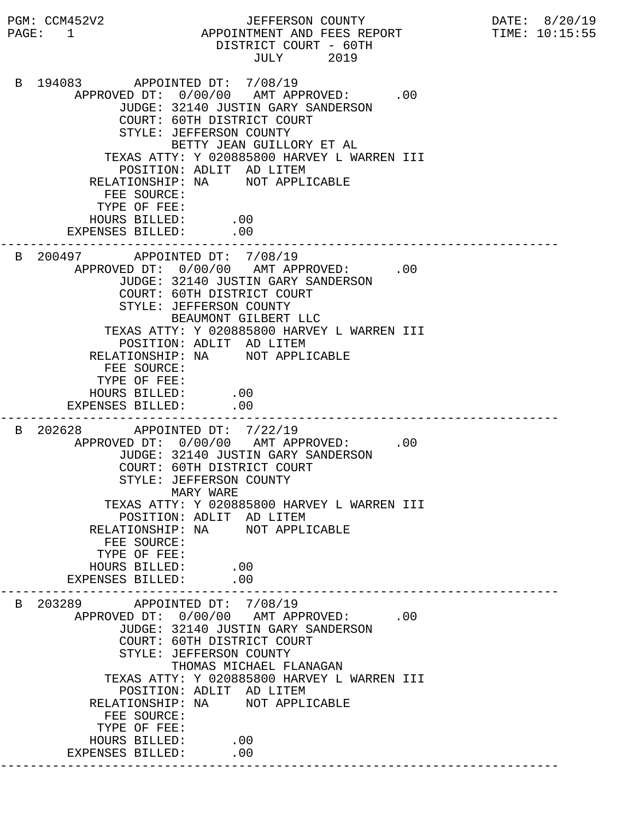PGM: CCM452V2 JEFFERSON COUNTY DATE: 8/20/19 PAGE: 1 APPOINTMENT AND FEES REPORT TIME: 10:15:55 DISTRICT COURT - 60TH<br>JULY 2019 JULY 2019 B 194083 APPOINTED DT: 7/08/19 APPROVED DT:  $0/00/00$  AMT APPROVED: .00 JUDGE: 32140 JUSTIN GARY SANDERSON COURT: 60TH DISTRICT COURT STYLE: JEFFERSON COUNTY BETTY JEAN GUILLORY ET AL TEXAS ATTY: Y 020885800 HARVEY L WARREN III POSITION: ADLIT AD LITEM RELATIONSHIP: NA NOT APPLICABLE FEE SOURCE: TYPE OF FEE: HOURS BILLED: .00 EXPENSES BILLED: .00 --------------------------------------------------------------------------- B 200497 APPOINTED DT: 7/08/19 APPROVED DT:  $0/00/00$  AMT APPROVED: .00 JUDGE: 32140 JUSTIN GARY SANDERSON COURT: 60TH DISTRICT COURT STYLE: JEFFERSON COUNTY BEAUMONT GILBERT LLC TEXAS ATTY: Y 020885800 HARVEY L WARREN III POSITION: ADLIT AD LITEM RELATIONSHIP: NA NOT APPLICABLE FEE SOURCE: TYPE OF FEE: HOURS BILLED: .00 EXPENSES BILLED: .00 --------------------------------------------------------------------------- B 202628 APPOINTED DT: 7/22/19 APPROVED DT:  $0/00/00$  AMT APPROVED: .00 JUDGE: 32140 JUSTIN GARY SANDERSON COURT: 60TH DISTRICT COURT STYLE: JEFFERSON COUNTY MARY WARE TEXAS ATTY: Y 020885800 HARVEY L WARREN III POSITION: ADLIT AD LITEM RELATIONSHIP: NA NOT APPLICABLE FEE SOURCE: TYPE OF FEE: HOURS BILLED: .00<br>ENSES BILLED: .00 EXPENSES BILLED: --------------------------------------------------------------------------- B 203289 APPOINTED DT: 7/08/19 APPROVED DT:  $0/00/00$  AMT APPROVED: .00 JUDGE: 32140 JUSTIN GARY SANDERSON COURT: 60TH DISTRICT COURT STYLE: JEFFERSON COUNTY THOMAS MICHAEL FLANAGAN TEXAS ATTY: Y 020885800 HARVEY L WARREN III POSITION: ADLIT AD LITEM RELATIONSHIP: NA NOT APPLICABLE FEE SOURCE: TYPE OF FEE: HOURS BILLED: .00 EXPENSES BILLED: .00 ---------------------------------------------------------------------------